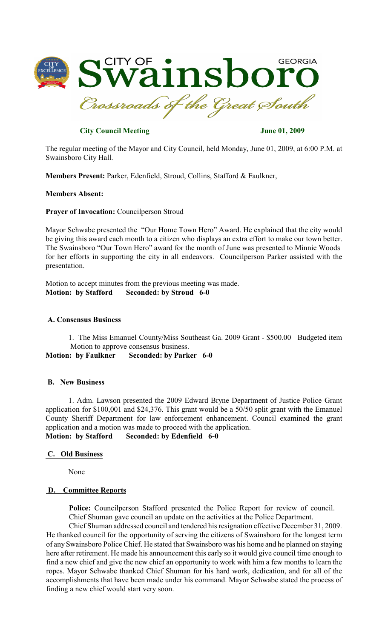

# **City Council Meeting June 01, 2009**

The regular meeting of the Mayor and City Council, held Monday, June 01, 2009, at 6:00 P.M. at Swainsboro City Hall.

**Members Present:** Parker, Edenfield, Stroud, Collins, Stafford & Faulkner,

## **Members Absent:**

**Prayer of Invocation:** Councilperson Stroud

Mayor Schwabe presented the "Our Home Town Hero" Award. He explained that the city would be giving this award each month to a citizen who displays an extra effort to make our town better. The Swainsboro "Our Town Hero" award for the month of June was presented to Minnie Woods for her efforts in supporting the city in all endeavors. Councilperson Parker assisted with the presentation.

Motion to accept minutes from the previous meeting was made. **Motion: by Stafford Seconded: by Stroud 6-0**

### **A. Consensus Business**

1. The Miss Emanuel County/Miss Southeast Ga. 2009 Grant - \$500.00 Budgeted item Motion to approve consensus business.

**Motion: by Faulkner Seconded: by Parker 6-0**

#### **B. New Business**

1. Adm. Lawson presented the 2009 Edward Bryne Department of Justice Police Grant application for \$100,001 and \$24,376. This grant would be a 50/50 split grant with the Emanuel County Sheriff Department for law enforcement enhancement. Council examined the grant application and a motion was made to proceed with the application. **Motion: by Stafford Seconded: by Edenfield 6-0**

### **C. Old Business**

None

#### **D. Committee Reports**

**Police:** Councilperson Stafford presented the Police Report for review of council. Chief Shuman gave council an update on the activities at the Police Department.

Chief Shuman addressed council and tendered his resignation effective December 31, 2009. He thanked council for the opportunity of serving the citizens of Swainsboro for the longest term of any Swainsboro Police Chief. He stated that Swainsboro was his home and he planned on staying here after retirement. He made his announcement this early so it would give council time enough to find a new chief and give the new chief an opportunity to work with him a few months to learn the ropes. Mayor Schwabe thanked Chief Shuman for his hard work, dedication, and for all of the accomplishments that have been made under his command. Mayor Schwabe stated the process of finding a new chief would start very soon.